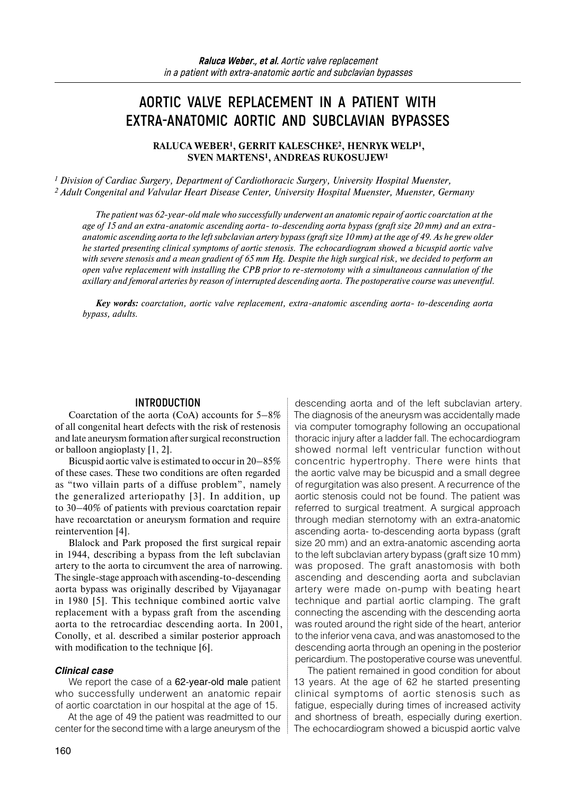# **AORTIC VALVE REPLACEMENT IN A PATIENT WITH EXTRA-ANATOMIC AORTIC AND SUBCLAVIAN BYPASSES**

**RALUCA WEBER1, GERRIT KALESCHKE2, HENRYK WELP1, SVEN MARTENS1, ANDREAS RUKOSUJEW1**

*<sup>1</sup> Division of Cardiac Surgery, Department of Cardiothoracic Surgery, University Hospital Muenster, <sup>2</sup> Adult Congenital and Valvular Heart Disease Center, University Hospital Muenster, Muenster, Germany* 

*The patient was 62-year-old male who successfully underwent an anatomic repair of aortic coarctation at the age of 15 and an extra-anatomic ascending aorta- to-descending aorta bypass (graft size 20 mm) and an extraanatomic ascending aorta to the left subclavian artery bypass (graft size 10 mm) at the age of 49. As he grew older he started presenting clinical symptoms of aortic stenosis. The echocardiogram showed a bicuspid aortic valve with severe stenosis and a mean gradient of 65 mm Hg. Despite the high surgical risk, we decided to perform an open valve replacement with installing the CPB prior to re-sternotomy with a simultaneous cannulation of the axillary and femoral arteries by reason of interrupted descending aorta. The postoperative course was uneventful.* 

*Key words: coarctation, aortic valve replacement, extra-anatomic ascending aorta- to-descending aorta bypass, adults.*

#### **INTRODUCTION**

Coarctation of the aorta (CoA) accounts for 5–8% of all congenital heart defects with the risk of restenosis and late aneurysm formation after surgical reconstruction or balloon angioplasty [1, 2].

Bicuspid aortic valve is estimated to occur in 20–85% of these cases. These two conditions are often regarded as "two villain parts of a diffuse problem", namely the generalized arteriopathy [3]. In addition, up to 30–40% of patients with previous coarctation repair have recoarctation or aneurysm formation and require reintervention [4].

Blalock and Park proposed the first surgical repair in 1944, describing a bypass from the left subclavian artery to the aorta to circumvent the area of narrowing. The single-stage approach with ascending-to-descending aorta bypass was originally described by Vijayanagar in 1980 [5]. This technique combined aortic valve replacement with a bypass graft from the ascending aorta to the retrocardiac descending aorta. In 2001, Conolly, et al. described a similar posterior approach with modification to the technique [6].

#### *Clinical case*

We report the case of a 62-year-old male patient who successfully underwent an anatomic repair of aortic coarctation in our hospital at the age of 15.

At the age of 49 the patient was readmitted to our center for the second time with a large aneurysm of the descending aorta and of the left subclavian artery. The diagnosis of the aneurysm was accidentally made via computer tomography following an occupational thoracic injury after a ladder fall. The echocardiogram showed normal left ventricular function without concentric hypertrophy. There were hints that the aortic valve may be bicuspid and a small degree of regurgitation was also present. A recurrence of the aortic stenosis could not be found. The patient was referred to surgical treatment. A surgical approach through median sternotomy with an extra-anatomic ascending aorta- to-descending aorta bypass (graft size 20 mm) and an extra-anatomic ascending aorta to the left subclavian artery bypass (graft size 10 mm) was proposed. The graft anastomosis with both ascending and descending aorta and subclavian artery were made on-pump with beating heart technique and partial aortic clamping. The graft connecting the ascending with the descending aorta was routed around the right side of the heart, anterior to the inferior vena cava, and was anastomosed to the descending aorta through an opening in the posterior pericardium. The postoperative course was uneventful.

The patient remained in good condition for about 13 years. At the age of 62 he started presenting clinical symptoms of aortic stenosis such as fatigue, especially during times of increased activity and shortness of breath, especially during exertion. The echocardiogram showed a bicuspid aortic valve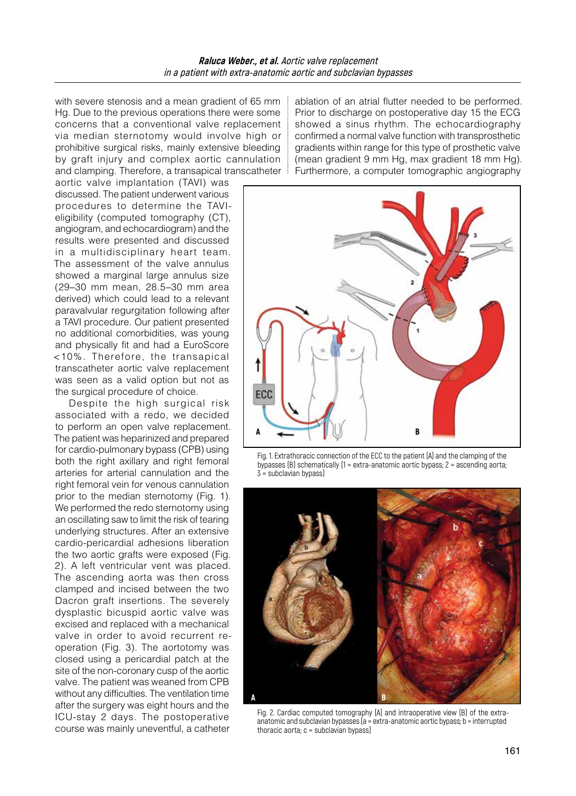with severe stenosis and a mean gradient of 65 mm Hg. Due to the previous operations there were some concerns that a conventional valve replacement via median sternotomy would involve high or prohibitive surgical risks, mainly extensive bleeding by graft injury and complex aortic cannulation and clamping. Therefore, a transapical transcatheter

aortic valve implantation (TAVI) was discussed. The patient underwent various procedures to determine the TAVIeligibility (computed tomography (CT), angiogram, and echocardiogram) and the results were presented and discussed in a multidisciplinary heart team. The assessment of the valve annulus showed a marginal large annulus size (29–30 mm mean, 28.5–30 mm area derived) which could lead to a relevant paravalvular regurgitation following after a TAVI procedure. Our patient presented no additional comorbidities, was young and physically fit and had a EuroScore <10%. Therefore, the transapical transcatheter aortic valve replacement was seen as a valid option but not as the surgical procedure of choice.

Despite the high surgical risk associated with a redo, we decided to perform an open valve replacement. The patient was heparinized and prepared for cardio-pulmonary bypass (CPB) using both the right axillary and right femoral arteries for arterial cannulation and the right femoral vein for venous cannulation prior to the median sternotomy (Fig. 1). We performed the redo sternotomy using an oscillating saw to limit the risk of tearing underlying structures. After an extensive cardio-pericardial adhesions liberation the two aortic grafts were exposed (Fig. 2). A left ventricular vent was placed. The ascending aorta was then cross clamped and incised between the two Dacron graft insertions. The severely dysplastic bicuspid aortic valve was excised and replaced with a mechanical valve in order to avoid recurrent reoperation (Fig. 3). The aortotomy was closed using a pericardial patch at the site of the non-coronary cusp of the aortic valve. The patient was weaned from CPB without any difficulties. The ventilation time after the surgery was eight hours and the ICU-stay 2 days. The postoperative course was mainly uneventful, a catheter

ablation of an atrial flutter needed to be performed. Prior to discharge on postoperative day 15 the ECG showed a sinus rhythm. The echocardiography confirmed a normal valve function with transprosthetic gradients within range for this type of prosthetic valve (mean gradient 9 mm Hg, max gradient 18 mm Hg). Furthermore, a computer tomographic angiography



Fig. 1. Extrathoracic connection of the ECC to the patient (A) and the clamping of the bypasses (B) schematically (1 = extra-anatomic aortic bypass; 2 = ascending aorta; 3 = subclavian bypass)



Fig. 2. Cardiac computed tomography (A) and intraoperative view (B) of the extraanatomic and subclavian bypasses (a = extra-anatomic aortic bypass; b = interrupted thoracic aorta; c = subclavian bypass)